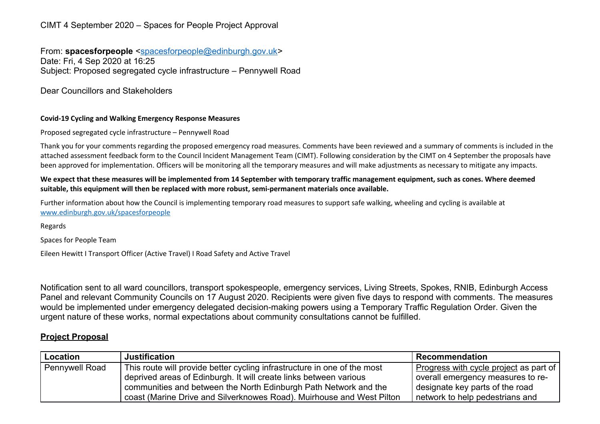## CIMT 4 September 2020 – Spaces for People Project Approval

From: **spacesforpeople** [<spacesforpeople@edinburgh.gov.uk>](mailto:spacesforpeople@edinburgh.gov.uk) Date: Fri, 4 Sep 2020 at 16:25 Subject: Proposed segregated cycle infrastructure – Pennywell Road

Dear Councillors and Stakeholders

#### **Covid-19 Cycling and Walking Emergency Response Measures**

Proposed segregated cycle infrastructure – Pennywell Road

Thank you for your comments regarding the proposed emergency road measures. Comments have been reviewed and a summary of comments is included in the attached assessment feedback form to the Council Incident Management Team (CIMT). Following consideration by the CIMT on 4 September the proposals have been approved for implementation. Officers will be monitoring all the temporary measures and will make adjustments as necessary to mitigate any impacts.

#### We expect that these measures will be implemented from 14 September with temporary traffic management equipment, such as cones. Where deemed **suitable, this equipment will then be replaced with more robust, semi-permanent materials once available.**

Further information about how the Council is implementing temporary road measures to support safe walking, wheeling and cycling is available at [www.edinburgh.gov.uk/spacesforpeople](http://www.edinburgh.gov.uk/spacesforpeople)

Regards

Spaces for People Team

Eileen Hewitt I Transport Officer (Active Travel) I Road Safety and Active Travel

Notification sent to all ward councillors, transport spokespeople, emergency services, Living Streets, Spokes, RNIB, Edinburgh Access Panel and relevant Community Councils on 17 August 2020. Recipients were given five days to respond with comments. The measures would be implemented under emergency delegated decision-making powers using a Temporary Traffic Regulation Order. Given the urgent nature of these works, normal expectations about community consultations cannot be fulfilled.

### **Project Proposal**

| Location              | <b>Justification</b>                                                     | Recommendation                                    |
|-----------------------|--------------------------------------------------------------------------|---------------------------------------------------|
| <b>Pennywell Road</b> | This route will provide better cycling infrastructure in one of the most | <u>Progress with cycle project</u> as part of $ $ |
|                       | deprived areas of Edinburgh. It will create links between various        | overall emergency measures to re-                 |
|                       | communities and between the North Edinburgh Path Network and the         | designate key parts of the road                   |
|                       | coast (Marine Drive and Silverknowes Road). Muirhouse and West Pilton    | network to help pedestrians and                   |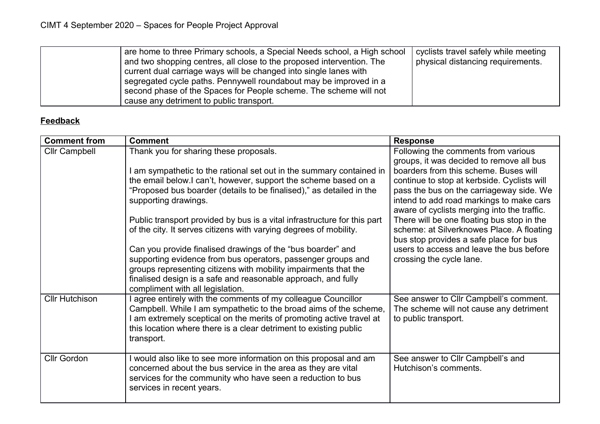| are home to three Primary schools, a Special Needs school, a High school<br>and two shopping centres, all close to the proposed intervention. The<br>current dual carriage ways will be changed into single lanes with<br>segregated cycle paths. Pennywell roundabout may be improved in a<br>second phase of the Spaces for People scheme. The scheme will not | cyclists travel safely while meeting<br>physical distancing requirements. |
|------------------------------------------------------------------------------------------------------------------------------------------------------------------------------------------------------------------------------------------------------------------------------------------------------------------------------------------------------------------|---------------------------------------------------------------------------|
| cause any detriment to public transport.                                                                                                                                                                                                                                                                                                                         |                                                                           |

# **Feedback**

| <b>Comment from</b>   | <b>Comment</b>                                                                                                                   | <b>Response</b>                                                                         |
|-----------------------|----------------------------------------------------------------------------------------------------------------------------------|-----------------------------------------------------------------------------------------|
| <b>Cllr Campbell</b>  | Thank you for sharing these proposals.                                                                                           | Following the comments from various<br>groups, it was decided to remove all bus         |
|                       | am sympathetic to the rational set out in the summary contained in                                                               | boarders from this scheme. Buses will                                                   |
|                       | the email below.I can't, however, support the scheme based on a                                                                  | continue to stop at kerbside. Cyclists will                                             |
|                       | "Proposed bus boarder (details to be finalised)," as detailed in the                                                             | pass the bus on the carriageway side. We                                                |
|                       | supporting drawings.                                                                                                             | intend to add road markings to make cars<br>aware of cyclists merging into the traffic. |
|                       | Public transport provided by bus is a vital infrastructure for this part                                                         | There will be one floating bus stop in the                                              |
|                       | of the city. It serves citizens with varying degrees of mobility.                                                                | scheme: at Silverknowes Place. A floating<br>bus stop provides a safe place for bus     |
|                       | Can you provide finalised drawings of the "bus boarder" and                                                                      | users to access and leave the bus before                                                |
|                       | supporting evidence from bus operators, passenger groups and                                                                     | crossing the cycle lane.                                                                |
|                       | groups representing citizens with mobility impairments that the<br>finalised design is a safe and reasonable approach, and fully |                                                                                         |
|                       | compliment with all legislation.                                                                                                 |                                                                                         |
| <b>Cllr Hutchison</b> | agree entirely with the comments of my colleague Councillor                                                                      | See answer to Cllr Campbell's comment.                                                  |
|                       | Campbell. While I am sympathetic to the broad aims of the scheme,                                                                | The scheme will not cause any detriment                                                 |
|                       | I am extremely sceptical on the merits of promoting active travel at                                                             | to public transport.                                                                    |
|                       | this location where there is a clear detriment to existing public<br>transport.                                                  |                                                                                         |
|                       |                                                                                                                                  |                                                                                         |
| <b>Cllr Gordon</b>    | would also like to see more information on this proposal and am                                                                  | See answer to Cllr Campbell's and                                                       |
|                       | concerned about the bus service in the area as they are vital                                                                    | Hutchison's comments.                                                                   |
|                       | services for the community who have seen a reduction to bus<br>services in recent years.                                         |                                                                                         |
|                       |                                                                                                                                  |                                                                                         |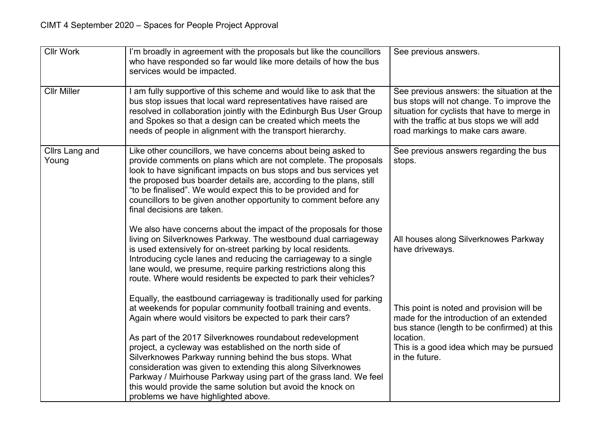| <b>Cllr Work</b>        | I'm broadly in agreement with the proposals but like the councillors<br>who have responded so far would like more details of how the bus<br>services would be impacted.                                                                                                                                                                                                                                                                                                                                                                                                                                                              | See previous answers.                                                                                                                                                                                                     |
|-------------------------|--------------------------------------------------------------------------------------------------------------------------------------------------------------------------------------------------------------------------------------------------------------------------------------------------------------------------------------------------------------------------------------------------------------------------------------------------------------------------------------------------------------------------------------------------------------------------------------------------------------------------------------|---------------------------------------------------------------------------------------------------------------------------------------------------------------------------------------------------------------------------|
| <b>Cllr Miller</b>      | I am fully supportive of this scheme and would like to ask that the<br>bus stop issues that local ward representatives have raised are<br>resolved in collaboration jointly with the Edinburgh Bus User Group<br>and Spokes so that a design can be created which meets the<br>needs of people in alignment with the transport hierarchy.                                                                                                                                                                                                                                                                                            | See previous answers: the situation at the<br>bus stops will not change. To improve the<br>situation for cyclists that have to merge in<br>with the traffic at bus stops we will add<br>road markings to make cars aware. |
| Cllrs Lang and<br>Young | Like other councillors, we have concerns about being asked to<br>provide comments on plans which are not complete. The proposals<br>look to have significant impacts on bus stops and bus services yet<br>the proposed bus boarder details are, according to the plans, still<br>"to be finalised". We would expect this to be provided and for<br>councillors to be given another opportunity to comment before any<br>final decisions are taken.                                                                                                                                                                                   | See previous answers regarding the bus<br>stops.                                                                                                                                                                          |
|                         | We also have concerns about the impact of the proposals for those<br>living on Silverknowes Parkway. The westbound dual carriageway<br>is used extensively for on-street parking by local residents.<br>Introducing cycle lanes and reducing the carriageway to a single<br>lane would, we presume, require parking restrictions along this<br>route. Where would residents be expected to park their vehicles?                                                                                                                                                                                                                      | All houses along Silverknowes Parkway<br>have driveways.                                                                                                                                                                  |
|                         | Equally, the eastbound carriageway is traditionally used for parking<br>at weekends for popular community football training and events.<br>Again where would visitors be expected to park their cars?<br>As part of the 2017 Silverknowes roundabout redevelopment<br>project, a cycleway was established on the north side of<br>Silverknowes Parkway running behind the bus stops. What<br>consideration was given to extending this along Silverknowes<br>Parkway / Muirhouse Parkway using part of the grass land. We feel<br>this would provide the same solution but avoid the knock on<br>problems we have highlighted above. | This point is noted and provision will be<br>made for the introduction of an extended<br>bus stance (length to be confirmed) at this<br>location.<br>This is a good idea which may be pursued<br>in the future.           |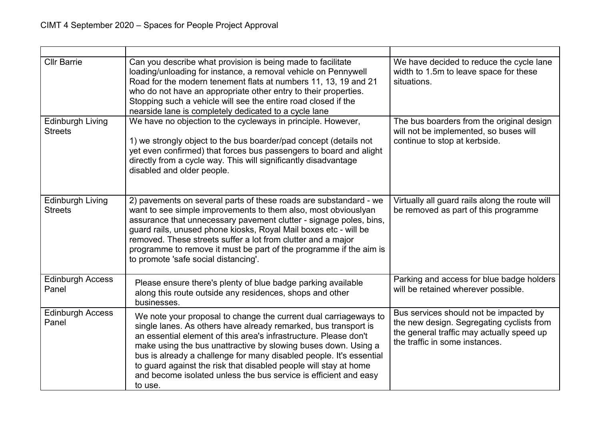| <b>Cllr Barrie</b>                        | Can you describe what provision is being made to facilitate<br>loading/unloading for instance, a removal vehicle on Pennywell<br>Road for the modern tenement flats at numbers 11, 13, 19 and 21<br>who do not have an appropriate other entry to their properties.<br>Stopping such a vehicle will see the entire road closed if the<br>nearside lane is completely dedicated to a cycle lane                                                                                                      | We have decided to reduce the cycle lane<br>width to 1.5m to leave space for these<br>situations.                                                                  |
|-------------------------------------------|-----------------------------------------------------------------------------------------------------------------------------------------------------------------------------------------------------------------------------------------------------------------------------------------------------------------------------------------------------------------------------------------------------------------------------------------------------------------------------------------------------|--------------------------------------------------------------------------------------------------------------------------------------------------------------------|
| <b>Edinburgh Living</b><br><b>Streets</b> | We have no objection to the cycleways in principle. However,<br>1) we strongly object to the bus boarder/pad concept (details not<br>yet even confirmed) that forces bus passengers to board and alight<br>directly from a cycle way. This will significantly disadvantage<br>disabled and older people.                                                                                                                                                                                            | The bus boarders from the original design<br>will not be implemented, so buses will<br>continue to stop at kerbside.                                               |
| <b>Edinburgh Living</b><br><b>Streets</b> | 2) pavements on several parts of these roads are substandard - we<br>want to see simple improvements to them also, most obviouslyan<br>assurance that unnecessary pavement clutter - signage poles, bins,<br>guard rails, unused phone kiosks, Royal Mail boxes etc - will be<br>removed. These streets suffer a lot from clutter and a major<br>programme to remove it must be part of the programme if the aim is<br>to promote 'safe social distancing'.                                         | Virtually all guard rails along the route will<br>be removed as part of this programme                                                                             |
| <b>Edinburgh Access</b><br>Panel          | Please ensure there's plenty of blue badge parking available<br>along this route outside any residences, shops and other<br>businesses.                                                                                                                                                                                                                                                                                                                                                             | Parking and access for blue badge holders<br>will be retained wherever possible.                                                                                   |
| <b>Edinburgh Access</b><br>Panel          | We note your proposal to change the current dual carriageways to<br>single lanes. As others have already remarked, bus transport is<br>an essential element of this area's infrastructure. Please don't<br>make using the bus unattractive by slowing buses down. Using a<br>bus is already a challenge for many disabled people. It's essential<br>to guard against the risk that disabled people will stay at home<br>and become isolated unless the bus service is efficient and easy<br>to use. | Bus services should not be impacted by<br>the new design. Segregating cyclists from<br>the general traffic may actually speed up<br>the traffic in some instances. |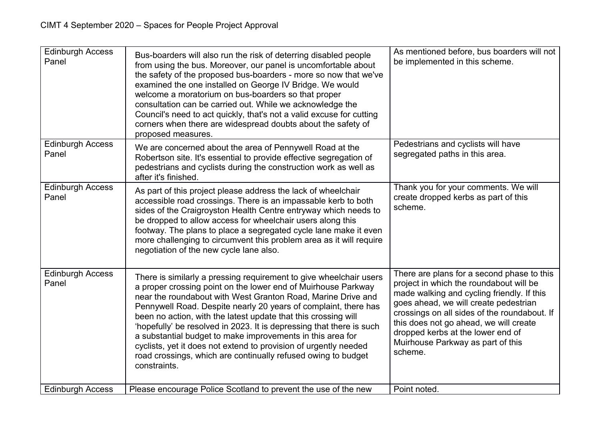| <b>Edinburgh Access</b><br>Panel | Bus-boarders will also run the risk of deterring disabled people<br>from using the bus. Moreover, our panel is uncomfortable about<br>the safety of the proposed bus-boarders - more so now that we've<br>examined the one installed on George IV Bridge. We would<br>welcome a moratorium on bus-boarders so that proper<br>consultation can be carried out. While we acknowledge the<br>Council's need to act quickly, that's not a valid excuse for cutting<br>corners when there are widespread doubts about the safety of<br>proposed measures.                                                                                | As mentioned before, bus boarders will not<br>be implemented in this scheme.                                                                                                                                                                                                                                                                                |
|----------------------------------|-------------------------------------------------------------------------------------------------------------------------------------------------------------------------------------------------------------------------------------------------------------------------------------------------------------------------------------------------------------------------------------------------------------------------------------------------------------------------------------------------------------------------------------------------------------------------------------------------------------------------------------|-------------------------------------------------------------------------------------------------------------------------------------------------------------------------------------------------------------------------------------------------------------------------------------------------------------------------------------------------------------|
| <b>Edinburgh Access</b><br>Panel | We are concerned about the area of Pennywell Road at the<br>Robertson site. It's essential to provide effective segregation of<br>pedestrians and cyclists during the construction work as well as<br>after it's finished.                                                                                                                                                                                                                                                                                                                                                                                                          | Pedestrians and cyclists will have<br>segregated paths in this area.                                                                                                                                                                                                                                                                                        |
| <b>Edinburgh Access</b><br>Panel | As part of this project please address the lack of wheelchair<br>accessible road crossings. There is an impassable kerb to both<br>sides of the Craigroyston Health Centre entryway which needs to<br>be dropped to allow access for wheelchair users along this<br>footway. The plans to place a segregated cycle lane make it even<br>more challenging to circumvent this problem area as it will require<br>negotiation of the new cycle lane also.                                                                                                                                                                              | Thank you for your comments. We will<br>create dropped kerbs as part of this<br>scheme.                                                                                                                                                                                                                                                                     |
| <b>Edinburgh Access</b><br>Panel | There is similarly a pressing requirement to give wheelchair users<br>a proper crossing point on the lower end of Muirhouse Parkway<br>near the roundabout with West Granton Road, Marine Drive and<br>Pennywell Road. Despite nearly 20 years of complaint, there has<br>been no action, with the latest update that this crossing will<br>'hopefully' be resolved in 2023. It is depressing that there is such<br>a substantial budget to make improvements in this area for<br>cyclists, yet it does not extend to provision of urgently needed<br>road crossings, which are continually refused owing to budget<br>constraints. | There are plans for a second phase to this<br>project in which the roundabout will be<br>made walking and cycling friendly. If this<br>goes ahead, we will create pedestrian<br>crossings on all sides of the roundabout. If<br>this does not go ahead, we will create<br>dropped kerbs at the lower end of<br>Muirhouse Parkway as part of this<br>scheme. |
| <b>Edinburgh Access</b>          | Please encourage Police Scotland to prevent the use of the new                                                                                                                                                                                                                                                                                                                                                                                                                                                                                                                                                                      | Point noted.                                                                                                                                                                                                                                                                                                                                                |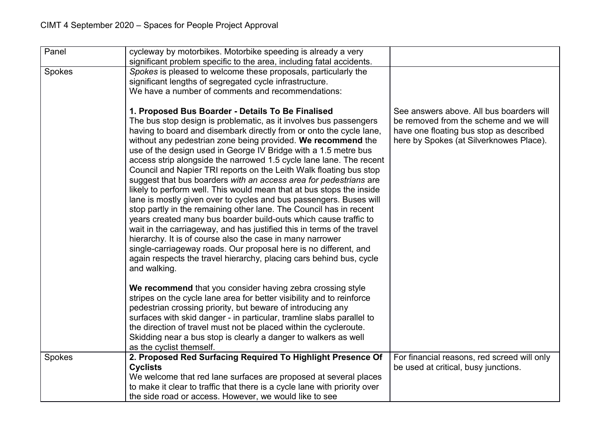| Panel         | cycleway by motorbikes. Motorbike speeding is already a very<br>significant problem specific to the area, including fatal accidents.                                                                                                                                                                                                                                                                                                                                                                                                                                                                                                                                                                                                                                                                                                                                                                                                                                                                                                                                                                                                         |                                                                                                                                                                          |
|---------------|----------------------------------------------------------------------------------------------------------------------------------------------------------------------------------------------------------------------------------------------------------------------------------------------------------------------------------------------------------------------------------------------------------------------------------------------------------------------------------------------------------------------------------------------------------------------------------------------------------------------------------------------------------------------------------------------------------------------------------------------------------------------------------------------------------------------------------------------------------------------------------------------------------------------------------------------------------------------------------------------------------------------------------------------------------------------------------------------------------------------------------------------|--------------------------------------------------------------------------------------------------------------------------------------------------------------------------|
| <b>Spokes</b> | Spokes is pleased to welcome these proposals, particularly the<br>significant lengths of segregated cycle infrastructure.<br>We have a number of comments and recommendations:                                                                                                                                                                                                                                                                                                                                                                                                                                                                                                                                                                                                                                                                                                                                                                                                                                                                                                                                                               |                                                                                                                                                                          |
|               | 1. Proposed Bus Boarder - Details To Be Finalised<br>The bus stop design is problematic, as it involves bus passengers<br>having to board and disembark directly from or onto the cycle lane,<br>without any pedestrian zone being provided. We recommend the<br>use of the design used in George IV Bridge with a 1.5 metre bus<br>access strip alongside the narrowed 1.5 cycle lane lane. The recent<br>Council and Napier TRI reports on the Leith Walk floating bus stop<br>suggest that bus boarders with an access area for pedestrians are<br>likely to perform well. This would mean that at bus stops the inside<br>lane is mostly given over to cycles and bus passengers. Buses will<br>stop partly in the remaining other lane. The Council has in recent<br>years created many bus boarder build-outs which cause traffic to<br>wait in the carriageway, and has justified this in terms of the travel<br>hierarchy. It is of course also the case in many narrower<br>single-carriageway roads. Our proposal here is no different, and<br>again respects the travel hierarchy, placing cars behind bus, cycle<br>and walking. | See answers above. All bus boarders will<br>be removed from the scheme and we will<br>have one floating bus stop as described<br>here by Spokes (at Silverknowes Place). |
|               | We recommend that you consider having zebra crossing style<br>stripes on the cycle lane area for better visibility and to reinforce<br>pedestrian crossing priority, but beware of introducing any<br>surfaces with skid danger - in particular, tramline slabs parallel to<br>the direction of travel must not be placed within the cycleroute.<br>Skidding near a bus stop is clearly a danger to walkers as well<br>as the cyclist themself.                                                                                                                                                                                                                                                                                                                                                                                                                                                                                                                                                                                                                                                                                              |                                                                                                                                                                          |
| Spokes        | 2. Proposed Red Surfacing Required To Highlight Presence Of<br><b>Cyclists</b><br>We welcome that red lane surfaces are proposed at several places<br>to make it clear to traffic that there is a cycle lane with priority over                                                                                                                                                                                                                                                                                                                                                                                                                                                                                                                                                                                                                                                                                                                                                                                                                                                                                                              | For financial reasons, red screed will only<br>be used at critical, busy junctions.                                                                                      |
|               | the side road or access. However, we would like to see                                                                                                                                                                                                                                                                                                                                                                                                                                                                                                                                                                                                                                                                                                                                                                                                                                                                                                                                                                                                                                                                                       |                                                                                                                                                                          |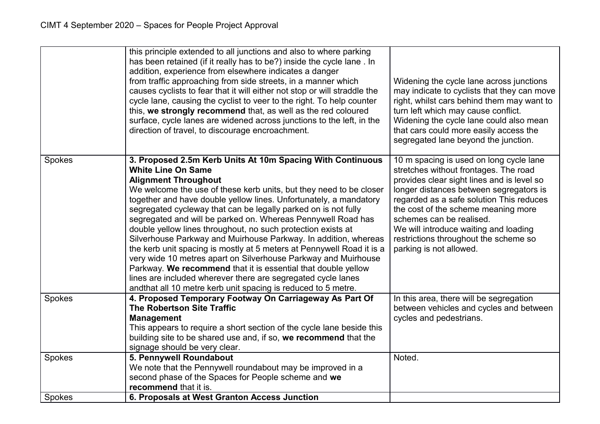|        | this principle extended to all junctions and also to where parking<br>has been retained (if it really has to be?) inside the cycle lane . In<br>addition, experience from elsewhere indicates a danger<br>from traffic approaching from side streets, in a manner which<br>causes cyclists to fear that it will either not stop or will straddle the<br>cycle lane, causing the cyclist to veer to the right. To help counter<br>this, we strongly recommend that, as well as the red coloured<br>surface, cycle lanes are widened across junctions to the left, in the<br>direction of travel, to discourage encroachment.                                                                                                                                                                                                                                                         | Widening the cycle lane across junctions<br>may indicate to cyclists that they can move<br>right, whilst cars behind them may want to<br>turn left which may cause conflict.<br>Widening the cycle lane could also mean<br>that cars could more easily access the<br>segregated lane beyond the junction.                                                                                             |
|--------|-------------------------------------------------------------------------------------------------------------------------------------------------------------------------------------------------------------------------------------------------------------------------------------------------------------------------------------------------------------------------------------------------------------------------------------------------------------------------------------------------------------------------------------------------------------------------------------------------------------------------------------------------------------------------------------------------------------------------------------------------------------------------------------------------------------------------------------------------------------------------------------|-------------------------------------------------------------------------------------------------------------------------------------------------------------------------------------------------------------------------------------------------------------------------------------------------------------------------------------------------------------------------------------------------------|
| Spokes | 3. Proposed 2.5m Kerb Units At 10m Spacing With Continuous<br><b>White Line On Same</b><br><b>Alignment Throughout</b><br>We welcome the use of these kerb units, but they need to be closer<br>together and have double yellow lines. Unfortunately, a mandatory<br>segregated cycleway that can be legally parked on is not fully<br>segregated and will be parked on. Whereas Pennywell Road has<br>double yellow lines throughout, no such protection exists at<br>Silverhouse Parkway and Muirhouse Parkway. In addition, whereas<br>the kerb unit spacing is mostly at 5 meters at Pennywell Road it is a<br>very wide 10 metres apart on Silverhouse Parkway and Muirhouse<br>Parkway. We recommend that it is essential that double yellow<br>lines are included wherever there are segregated cycle lanes<br>andthat all 10 metre kerb unit spacing is reduced to 5 metre. | 10 m spacing is used on long cycle lane<br>stretches without frontages. The road<br>provides clear sight lines and is level so<br>longer distances between segregators is<br>regarded as a safe solution This reduces<br>the cost of the scheme meaning more<br>schemes can be realised.<br>We will introduce waiting and loading<br>restrictions throughout the scheme so<br>parking is not allowed. |
| Spokes | 4. Proposed Temporary Footway On Carriageway As Part Of<br><b>The Robertson Site Traffic</b><br><b>Management</b><br>This appears to require a short section of the cycle lane beside this<br>building site to be shared use and, if so, we recommend that the<br>signage should be very clear.                                                                                                                                                                                                                                                                                                                                                                                                                                                                                                                                                                                     | In this area, there will be segregation<br>between vehicles and cycles and between<br>cycles and pedestrians.                                                                                                                                                                                                                                                                                         |
| Spokes | 5. Pennywell Roundabout<br>We note that the Pennywell roundabout may be improved in a<br>second phase of the Spaces for People scheme and we<br>recommend that it is.                                                                                                                                                                                                                                                                                                                                                                                                                                                                                                                                                                                                                                                                                                               | Noted.                                                                                                                                                                                                                                                                                                                                                                                                |
| Spokes | 6. Proposals at West Granton Access Junction                                                                                                                                                                                                                                                                                                                                                                                                                                                                                                                                                                                                                                                                                                                                                                                                                                        |                                                                                                                                                                                                                                                                                                                                                                                                       |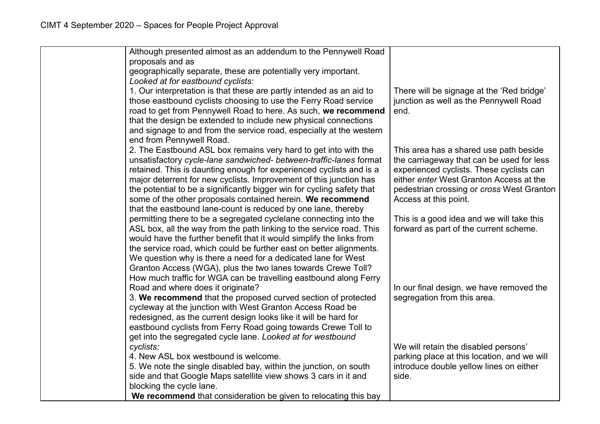| Although presented almost as an addendum to the Pennywell Road                                                                |                                                |
|-------------------------------------------------------------------------------------------------------------------------------|------------------------------------------------|
| proposals and as                                                                                                              |                                                |
| geographically separate, these are potentially very important.                                                                |                                                |
| Looked at for eastbound cyclists:                                                                                             |                                                |
| 1. Our interpretation is that these are partly intended as an aid to                                                          | There will be signage at the 'Red bridge'      |
| those eastbound cyclists choosing to use the Ferry Road service                                                               | junction as well as the Pennywell Road<br>end. |
| road to get from Pennywell Road to here. As such, we recommend                                                                |                                                |
| that the design be extended to include new physical connections                                                               |                                                |
| and signage to and from the service road, especially at the western<br>end from Pennywell Road.                               |                                                |
| 2. The Eastbound ASL box remains very hard to get into with the                                                               | This area has a shared use path beside         |
| unsatisfactory cycle-lane sandwiched- between-traffic-lanes format                                                            | the carriageway that can be used for less      |
| retained. This is daunting enough for experienced cyclists and is a                                                           | experienced cyclists. These cyclists can       |
| major deterrent for new cyclists. Improvement of this junction has                                                            | either enter West Granton Access at the        |
| the potential to be a significantly bigger win for cycling safety that                                                        | pedestrian crossing or cross West Granton      |
| some of the other proposals contained herein. We recommend                                                                    | Access at this point.                          |
| that the eastbound lane-count is reduced by one lane, thereby                                                                 |                                                |
| permitting there to be a segregated cyclelane connecting into the                                                             | This is a good idea and we will take this      |
| ASL box, all the way from the path linking to the service road. This                                                          | forward as part of the current scheme.         |
| would have the further benefit that it would simplify the links from                                                          |                                                |
| the service road, which could be further east on better alignments.                                                           |                                                |
| We question why is there a need for a dedicated lane for West                                                                 |                                                |
| Granton Access (WGA), plus the two lanes towards Crewe Toll?                                                                  |                                                |
| How much traffic for WGA can be travelling eastbound along Ferry                                                              |                                                |
| Road and where does it originate?                                                                                             | In our final design, we have removed the       |
| 3. We recommend that the proposed curved section of protected                                                                 | segregation from this area.                    |
| cycleway at the junction with West Granton Access Road be                                                                     |                                                |
| redesigned, as the current design looks like it will be hard for                                                              |                                                |
| eastbound cyclists from Ferry Road going towards Crewe Toll to<br>get into the segregated cycle lane. Looked at for westbound |                                                |
| cyclists:                                                                                                                     | We will retain the disabled persons'           |
| 4. New ASL box westbound is welcome.                                                                                          | parking place at this location, and we will    |
| 5. We note the single disabled bay, within the junction, on south                                                             | introduce double yellow lines on either        |
| side and that Google Maps satellite view shows 3 cars in it and                                                               | side.                                          |
| blocking the cycle lane.                                                                                                      |                                                |
| We recommend that consideration be given to relocating this bay                                                               |                                                |
|                                                                                                                               |                                                |